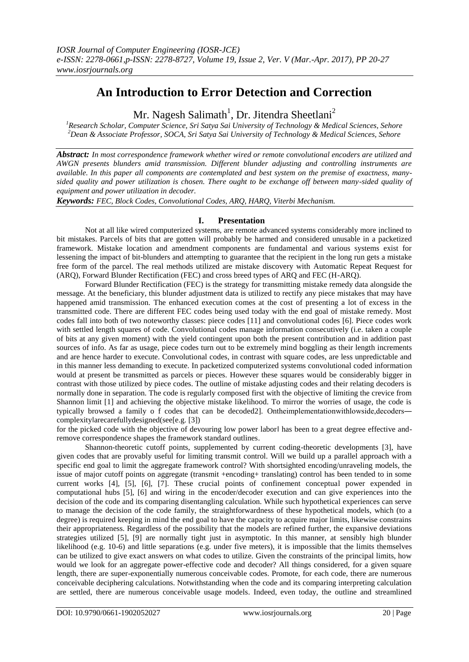# **An Introduction to Error Detection and Correction**

Mr. Nagesh Salimath<sup>1</sup>, Dr. Jitendra Sheetlani<sup>2</sup>

*<sup>1</sup>Research Scholar, Computer Science, Sri Satya Sai University of Technology & Medical Sciences, Sehore <sup>2</sup>Dean & Associate Professor, SOCA, Sri Satya Sai University of Technology & Medical Sciences, Sehore*

*Abstract: In most correspondence framework whether wired or remote convolutional encoders are utilized and AWGN presents blunders amid transmission. Different blunder adjusting and controlling instruments are available. In this paper all components are contemplated and best system on the premise of exactness, manysided quality and power utilization is chosen. There ought to be exchange off between many-sided quality of equipment and power utilization in decoder.*

*Keywords: FEC, Block Codes, Convolutional Codes, ARQ, HARQ, Viterbi Mechanism.*

# **I. Presentation**

Not at all like wired computerized systems, are remote advanced systems considerably more inclined to bit mistakes. Parcels of bits that are gotten will probably be harmed and considered unusable in a packetized framework. Mistake location and amendment components are fundamental and various systems exist for lessening the impact of bit-blunders and attempting to guarantee that the recipient in the long run gets a mistake free form of the parcel. The real methods utilized are mistake discovery with Automatic Repeat Request for (ARQ), Forward Blunder Rectification (FEC) and cross breed types of ARQ and FEC (H-ARQ).

Forward Blunder Rectification (FEC) is the strategy for transmitting mistake remedy data alongside the message. At the beneficiary, this blunder adjustment data is utilized to rectify any piece mistakes that may have happened amid transmission. The enhanced execution comes at the cost of presenting a lot of excess in the transmitted code. There are different FEC codes being used today with the end goal of mistake remedy. Most codes fall into both of two noteworthy classes: piece codes [11] and convolutional codes [6]. Piece codes work with settled length squares of code. Convolutional codes manage information consecutively (i.e. taken a couple of bits at any given moment) with the yield contingent upon both the present contribution and in addition past sources of info. As far as usage, piece codes turn out to be extremely mind boggling as their length increments and are hence harder to execute. Convolutional codes, in contrast with square codes, are less unpredictable and in this manner less demanding to execute. In packetized computerized systems convolutional coded information would at present be transmitted as parcels or pieces. However these squares would be considerably bigger in contrast with those utilized by piece codes. The outline of mistake adjusting codes and their relating decoders is normally done in separation. The code is regularly composed first with the objective of limiting the crevice from Shannon limit [1] and achieving the objective mistake likelihood. To mirror the worries of usage, the code is typically browsed a family o f codes that can be decoded2]. Ontheimplementationwithlowside,decoders― complexity‖arecarefullydesigned(see[e.g. [3])

for the picked code with the objective of devouring low power labor has been to a great degree effective andremove correspondence shapes the framework standard outlines.

Shannon-theoretic cutoff points, supplemented by current coding-theoretic developments [3], have given codes that are provably useful for limiting transmit control. Will we build up a parallel approach with a specific end goal to limit the aggregate framework control? With shortsighted encoding/unraveling models, the issue of major cutoff points on aggregate (transmit +encoding+ translating) control has been tended to in some current works [4], [5], [6], [7]. These crucial points of confinement conceptual power expended in computational hubs [5], [6] and wiring in the encoder/decoder execution and can give experiences into the decision of the code and its comparing disentangling calculation. While such hypothetical experiences can serve to manage the decision of the code family, the straightforwardness of these hypothetical models, which (to a degree) is required keeping in mind the end goal to have the capacity to acquire major limits, likewise constrains their appropriateness. Regardless of the possibility that the models are refined further, the expansive deviations strategies utilized [5], [9] are normally tight just in asymptotic. In this manner, at sensibly high blunder likelihood (e.g. 10-6) and little separations (e.g. under five meters), it is impossible that the limits themselves can be utilized to give exact answers on what codes to utilize. Given the constraints of the principal limits, how would we look for an aggregate power-effective code and decoder? All things considered, for a given square length, there are super-exponentially numerous conceivable codes. Promote, for each code, there are numerous conceivable deciphering calculations. Notwithstanding when the code and its comparing interpreting calculation are settled, there are numerous conceivable usage models. Indeed, even today, the outline and streamlined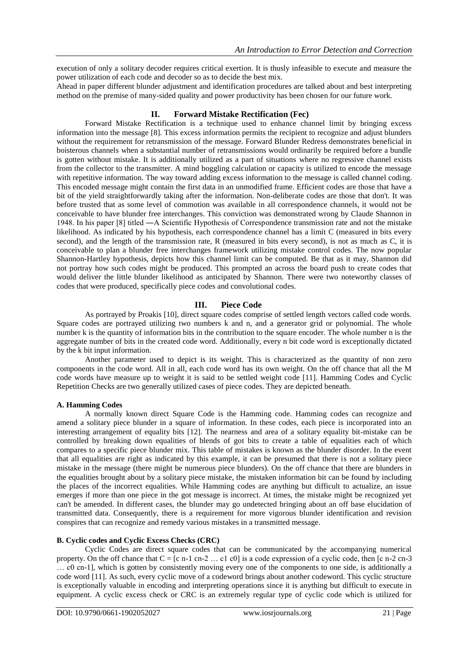execution of only a solitary decoder requires critical exertion. It is thusly infeasible to execute and measure the power utilization of each code and decoder so as to decide the best mix.

Ahead in paper different blunder adjustment and identification procedures are talked about and best interpreting method on the premise of many-sided quality and power productivity has been chosen for our future work.

# **II. Forward Mistake Rectification (Fec)**

Forward Mistake Rectification is a technique used to enhance channel limit by bringing excess information into the message [8]. This excess information permits the recipient to recognize and adjust blunders without the requirement for retransmission of the message. Forward Blunder Redress demonstrates beneficial in boisterous channels when a substantial number of retransmissions would ordinarily be required before a bundle is gotten without mistake. It is additionally utilized as a part of situations where no regressive channel exists from the collector to the transmitter. A mind boggling calculation or capacity is utilized to encode the message with repetitive information. The way toward adding excess information to the message is called channel coding. This encoded message might contain the first data in an unmodified frame. Efficient codes are those that have a bit of the yield straightforwardly taking after the information. Non-deliberate codes are those that don't. It was before trusted that as some level of commotion was available in all correspondence channels, it would not be conceivable to have blunder free interchanges. This conviction was demonstrated wrong by Claude Shannon in 1948. In his paper [8] titled ―A Scientific Hypothesis of Correspondence transmission rate and not the mistake likelihood. As indicated by his hypothesis, each correspondence channel has a limit C (measured in bits every second), and the length of the transmission rate, R (measured in bits every second), is not as much as C, it is conceivable to plan a blunder free interchanges framework utilizing mistake control codes. The now popular Shannon-Hartley hypothesis, depicts how this channel limit can be computed. Be that as it may, Shannon did not portray how such codes might be produced. This prompted an across the board push to create codes that would deliver the little blunder likelihood as anticipated by Shannon. There were two noteworthy classes of codes that were produced, specifically piece codes and convolutional codes.

# **III. Piece Code**

As portrayed by Proakis [10], direct square codes comprise of settled length vectors called code words. Square codes are portrayed utilizing two numbers k and n, and a generator grid or polynomial. The whole number k is the quantity of information bits in the contribution to the square encoder. The whole number n is the aggregate number of bits in the created code word. Additionally, every n bit code word is exceptionally dictated by the k bit input information.

Another parameter used to depict is its weight. This is characterized as the quantity of non zero components in the code word. All in all, each code word has its own weight. On the off chance that all the M code words have measure up to weight it is said to be settled weight code [11]. Hamming Codes and Cyclic Repetition Checks are two generally utilized cases of piece codes. They are depicted beneath.

# **A. Hamming Codes**

A normally known direct Square Code is the Hamming code. Hamming codes can recognize and amend a solitary piece blunder in a square of information. In these codes, each piece is incorporated into an interesting arrangement of equality bits [12]. The nearness and area of a solitary equality bit-mistake can be controlled by breaking down equalities of blends of got bits to create a table of equalities each of which compares to a specific piece blunder mix. This table of mistakes is known as the blunder disorder. In the event that all equalities are right as indicated by this example, it can be presumed that there is not a solitary piece mistake in the message (there might be numerous piece blunders). On the off chance that there are blunders in the equalities brought about by a solitary piece mistake, the mistaken information bit can be found by including the places of the incorrect equalities. While Hamming codes are anything but difficult to actualize, an issue emerges if more than one piece in the got message is incorrect. At times, the mistake might be recognized yet can't be amended. In different cases, the blunder may go undetected bringing about an off base elucidation of transmitted data. Consequently, there is a requirement for more vigorous blunder identification and revision conspires that can recognize and remedy various mistakes in a transmitted message.

# **B. Cyclic codes and Cyclic Excess Checks (CRC)**

Cyclic Codes are direct square codes that can be communicated by the accompanying numerical property. On the off chance that C = [c n-1 cn-2 … c1 c0] is a code expression of a cyclic code, then [c n-2 cn-3 … c0 cn-1], which is gotten by consistently moving every one of the components to one side, is additionally a code word [11]. As such, every cyclic move of a codeword brings about another codeword. This cyclic structure is exceptionally valuable in encoding and interpreting operations since it is anything but difficult to execute in equipment. A cyclic excess check or CRC is an extremely regular type of cyclic code which is utilized for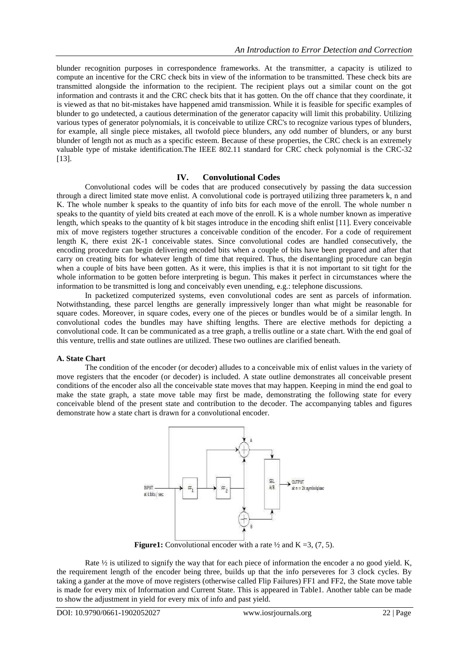blunder recognition purposes in correspondence frameworks. At the transmitter, a capacity is utilized to compute an incentive for the CRC check bits in view of the information to be transmitted. These check bits are transmitted alongside the information to the recipient. The recipient plays out a similar count on the got information and contrasts it and the CRC check bits that it has gotten. On the off chance that they coordinate, it is viewed as that no bit-mistakes have happened amid transmission. While it is feasible for specific examples of blunder to go undetected, a cautious determination of the generator capacity will limit this probability. Utilizing various types of generator polynomials, it is conceivable to utilize CRC's to recognize various types of blunders, for example, all single piece mistakes, all twofold piece blunders, any odd number of blunders, or any burst blunder of length not as much as a specific esteem. Because of these properties, the CRC check is an extremely valuable type of mistake identification.The IEEE 802.11 standard for CRC check polynomial is the CRC-32 [13].

## **IV. Convolutional Codes**

Convolutional codes will be codes that are produced consecutively by passing the data succession through a direct limited state move enlist. A convolutional code is portrayed utilizing three parameters k, n and K. The whole number k speaks to the quantity of info bits for each move of the enroll. The whole number n speaks to the quantity of yield bits created at each move of the enroll. K is a whole number known as imperative length, which speaks to the quantity of k bit stages introduce in the encoding shift enlist [11]. Every conceivable mix of move registers together structures a conceivable condition of the encoder. For a code of requirement length K, there exist 2K-1 conceivable states. Since convolutional codes are handled consecutively, the encoding procedure can begin delivering encoded bits when a couple of bits have been prepared and after that carry on creating bits for whatever length of time that required. Thus, the disentangling procedure can begin when a couple of bits have been gotten. As it were, this implies is that it is not important to sit tight for the whole information to be gotten before interpreting is begun. This makes it perfect in circumstances where the information to be transmitted is long and conceivably even unending, e.g.: telephone discussions.

In packetized computerized systems, even convolutional codes are sent as parcels of information. Notwithstanding, these parcel lengths are generally impressively longer than what might be reasonable for square codes. Moreover, in square codes, every one of the pieces or bundles would be of a similar length. In convolutional codes the bundles may have shifting lengths. There are elective methods for depicting a convolutional code. It can be communicated as a tree graph, a trellis outline or a state chart. With the end goal of this venture, trellis and state outlines are utilized. These two outlines are clarified beneath.

# **A. State Chart**

The condition of the encoder (or decoder) alludes to a conceivable mix of enlist values in the variety of move registers that the encoder (or decoder) is included. A state outline demonstrates all conceivable present conditions of the encoder also all the conceivable state moves that may happen. Keeping in mind the end goal to make the state graph, a state move table may first be made, demonstrating the following state for every conceivable blend of the present state and contribution to the decoder. The accompanying tables and figures demonstrate how a state chart is drawn for a convolutional encoder.



**Figure1:** Convolutional encoder with a rate  $\frac{1}{2}$  and  $K = 3$ , (7, 5).

Rate ½ is utilized to signify the way that for each piece of information the encoder a no good yield. K, the requirement length of the encoder being three, builds up that the info perseveres for 3 clock cycles. By taking a gander at the move of move registers (otherwise called Flip Failures) FF1 and FF2, the State move table is made for every mix of Information and Current State. This is appeared in Table1. Another table can be made to show the adjustment in yield for every mix of info and past yield.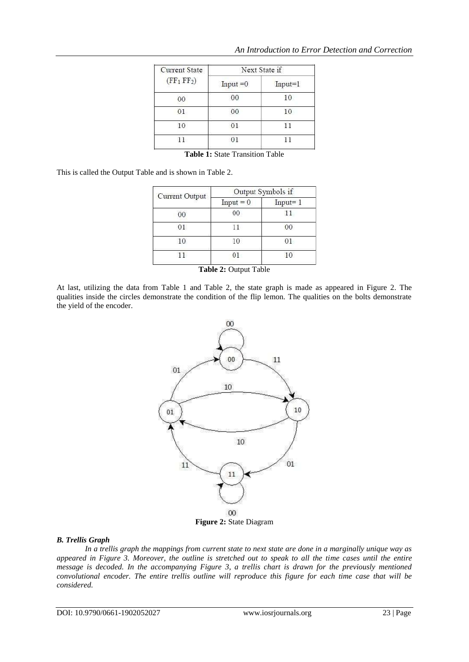| <b>Current State</b><br>(FF <sub>1</sub> FF <sub>2</sub> ) | Next State if |             |
|------------------------------------------------------------|---------------|-------------|
|                                                            | $Input = 0$   | $Input = 1$ |
| 00                                                         | 00            | 10          |
| 01                                                         | 00            | 10          |
| 10                                                         | 01            | 11          |
|                                                            |               |             |
|                                                            |               |             |

**Table 1:** State Transition Table

This is called the Output Table and is shown in Table 2.

| Current Output | Output Symbols if |             |
|----------------|-------------------|-------------|
|                | $Input = 0$       | $Input = 1$ |
| 00             | $^{00}$           | 11          |
|                |                   | 00          |
| 10             | 10                | $^{01}$     |
|                |                   |             |

| Table 2: Output Table |  |  |
|-----------------------|--|--|
|-----------------------|--|--|

At last, utilizing the data from Table 1 and Table 2, the state graph is made as appeared in Figure 2. The qualities inside the circles demonstrate the condition of the flip lemon. The qualities on the bolts demonstrate the yield of the encoder.



# **Figure 2:** State Diagram

#### *B. Trellis Graph*

*In a trellis graph the mappings from current state to next state are done in a marginally unique way as appeared in Figure 3. Moreover, the outline is stretched out to speak to all the time cases until the entire message is decoded. In the accompanying Figure 3, a trellis chart is drawn for the previously mentioned convolutional encoder. The entire trellis outline will reproduce this figure for each time case that will be considered.*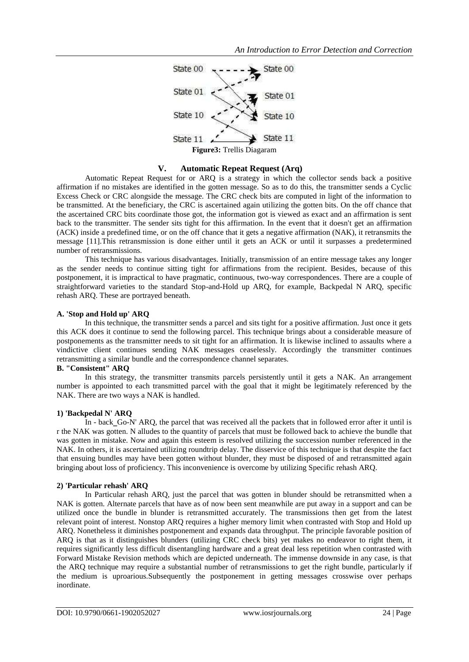

## **V. Automatic Repeat Request (Arq)**

Automatic Repeat Request for or ARQ is a strategy in which the collector sends back a positive affirmation if no mistakes are identified in the gotten message. So as to do this, the transmitter sends a Cyclic Excess Check or CRC alongside the message. The CRC check bits are computed in light of the information to be transmitted. At the beneficiary, the CRC is ascertained again utilizing the gotten bits. On the off chance that the ascertained CRC bits coordinate those got, the information got is viewed as exact and an affirmation is sent back to the transmitter. The sender sits tight for this affirmation. In the event that it doesn't get an affirmation (ACK) inside a predefined time, or on the off chance that it gets a negative affirmation (NAK), it retransmits the message [11].This retransmission is done either until it gets an ACK or until it surpasses a predetermined number of retransmissions.

This technique has various disadvantages. Initially, transmission of an entire message takes any longer as the sender needs to continue sitting tight for affirmations from the recipient. Besides, because of this postponement, it is impractical to have pragmatic, continuous, two-way correspondences. There are a couple of straightforward varieties to the standard Stop-and-Hold up ARQ, for example, Backpedal N ARQ, specific rehash ARQ. These are portrayed beneath.

## **A. 'Stop and Hold up' ARQ**

In this technique, the transmitter sends a parcel and sits tight for a positive affirmation. Just once it gets this ACK does it continue to send the following parcel. This technique brings about a considerable measure of postponements as the transmitter needs to sit tight for an affirmation. It is likewise inclined to assaults where a vindictive client continues sending NAK messages ceaselessly. Accordingly the transmitter continues retransmitting a similar bundle and the correspondence channel separates.

#### **B. "Consistent" ARQ**

In this strategy, the transmitter transmits parcels persistently until it gets a NAK. An arrangement number is appointed to each transmitted parcel with the goal that it might be legitimately referenced by the NAK. There are two ways a NAK is handled.

#### **1) 'Backpedal N' ARQ**

In - back\_Go-N' ARQ, the parcel that was received all the packets that in followed error after it until is r the NAK was gotten. N alludes to the quantity of parcels that must be followed back to achieve the bundle that was gotten in mistake. Now and again this esteem is resolved utilizing the succession number referenced in the NAK. In others, it is ascertained utilizing roundtrip delay. The disservice of this technique is that despite the fact that ensuing bundles may have been gotten without blunder, they must be disposed of and retransmitted again bringing about loss of proficiency. This inconvenience is overcome by utilizing Specific rehash ARQ.

# **2) 'Particular rehash' ARQ**

In Particular rehash ARQ, just the parcel that was gotten in blunder should be retransmitted when a NAK is gotten. Alternate parcels that have as of now been sent meanwhile are put away in a support and can be utilized once the bundle in blunder is retransmitted accurately. The transmissions then get from the latest relevant point of interest. Nonstop ARQ requires a higher memory limit when contrasted with Stop and Hold up ARQ. Nonetheless it diminishes postponement and expands data throughput. The principle favorable position of ARQ is that as it distinguishes blunders (utilizing CRC check bits) yet makes no endeavor to right them, it requires significantly less difficult disentangling hardware and a great deal less repetition when contrasted with Forward Mistake Revision methods which are depicted underneath. The immense downside in any case, is that the ARQ technique may require a substantial number of retransmissions to get the right bundle, particularly if the medium is uproarious.Subsequently the postponement in getting messages crosswise over perhaps inordinate.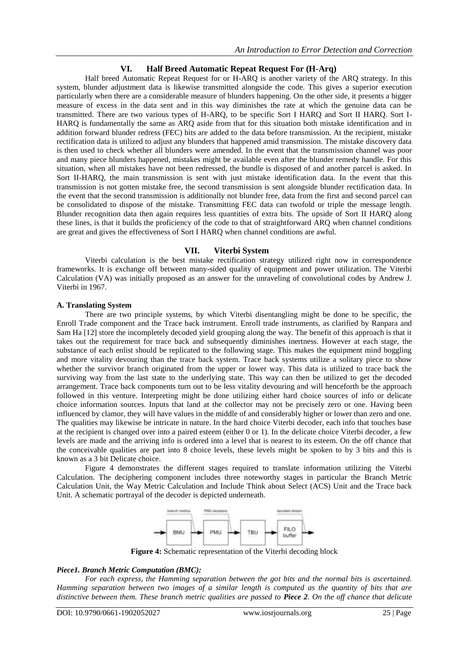# **VI. Half Breed Automatic Repeat Request For (H-Arq)**

Half breed Automatic Repeat Request for or H-ARQ is another variety of the ARQ strategy. In this system, blunder adjustment data is likewise transmitted alongside the code. This gives a superior execution particularly when there are a considerable measure of blunders happening. On the other side, it presents a bigger measure of excess in the data sent and in this way diminishes the rate at which the genuine data can be transmitted. There are two various types of H-ARQ, to be specific Sort I HARQ and Sort II HARQ. Sort I-HARQ is fundamentally the same as ARQ aside from that for this situation both mistake identification and in addition forward blunder redress (FEC) bits are added to the data before transmission. At the recipient, mistake rectification data is utilized to adjust any blunders that happened amid transmission. The mistake discovery data is then used to check whether all blunders were amended. In the event that the transmission channel was poor and many piece blunders happened, mistakes might be available even after the blunder remedy handle. For this situation, when all mistakes have not been redressed, the bundle is disposed of and another parcel is asked. In Sort II-HARQ, the main transmission is sent with just mistake identification data. In the event that this transmission is not gotten mistake free, the second transmission is sent alongside blunder rectification data. In the event that the second transmission is additionally not blunder free, data from the first and second parcel can be consolidated to dispose of the mistake. Transmitting FEC data can twofold or triple the message length. Blunder recognition data then again requires less quantities of extra bits. The upside of Sort II HARQ along these lines, is that it builds the proficiency of the code to that of straightforward ARQ when channel conditions are great and gives the effectiveness of Sort I HARQ when channel conditions are awful.

# **VII. Viterbi System**

Viterbi calculation is the best mistake rectification strategy utilized right now in correspondence frameworks. It is exchange off between many-sided quality of equipment and power utilization. The Viterbi Calculation (VA) was initially proposed as an answer for the unraveling of convolutional codes by Andrew J. Viterbi in 1967.

## **A. Translating System**

There are two principle systems, by which Viterbi disentangling might be done to be specific, the Enroll Trade component and the Trace back instrument. Enroll trade instruments, as clarified by Ranpara and Sam Ha [12] store the incompletely decoded yield grouping along the way. The benefit of this approach is that it takes out the requirement for trace back and subsequently diminishes inertness. However at each stage, the substance of each enlist should be replicated to the following stage. This makes the equipment mind boggling and more vitality devouring than the trace back system. Trace back systems utilize a solitary piece to show whether the survivor branch originated from the upper or lower way. This data is utilized to trace back the surviving way from the last state to the underlying state. This way can then be utilized to get the decoded arrangement. Trace back components turn out to be less vitality devouring and will henceforth be the approach followed in this venture. Interpreting might be done utilizing either hard choice sources of info or delicate choice information sources. Inputs that land at the collector may not be precisely zero or one. Having been influenced by clamor, they will have values in the middle of and considerably higher or lower than zero and one. The qualities may likewise be intricate in nature. In the hard choice Viterbi decoder, each info that touches base at the recipient is changed over into a paired esteem (either 0 or 1). In the delicate choice Viterbi decoder, a few levels are made and the arriving info is ordered into a level that is nearest to its esteem. On the off chance that the conceivable qualities are part into 8 choice levels, these levels might be spoken to by 3 bits and this is known as a 3 bit Delicate choice.

Figure 4 demonstrates the different stages required to translate information utilizing the Viterbi Calculation. The deciphering component includes three noteworthy stages in particular the Branch Metric Calculation Unit, the Way Metric Calculation and Include Think about Select (ACS) Unit and the Trace back Unit. A schematic portrayal of the decoder is depicted underneath.



**Figure 4:** Schematic representation of the Viterbi decoding block

# *Piece1. Branch Metric Computation (BMC):*

*For each express, the Hamming separation between the got bits and the normal bits is ascertained. Hamming separation between two images of a similar length is computed as the quantity of bits that are distinctive between them. These branch metric qualities are passed to Piece 2. On the off chance that delicate*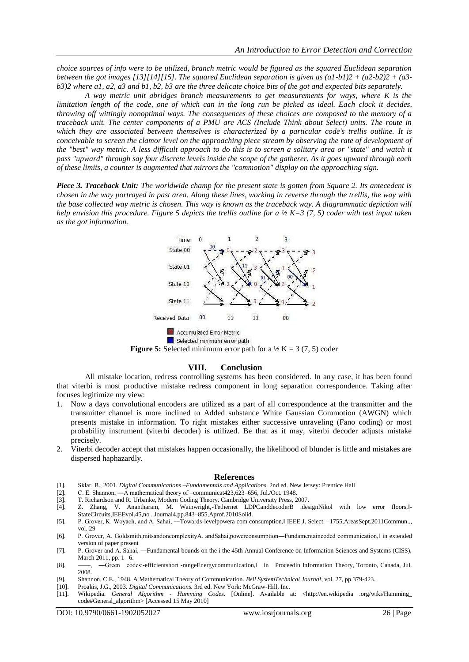*choice sources of info were to be utilized, branch metric would be figured as the squared Euclidean separation between the got images [13][14][15]. The squared Euclidean separation is given as (a1-b1)2 + (a2-b2)2 + (a3 b3)2 where a1, a2, a3 and b1, b2, b3 are the three delicate choice bits of the got and expected bits separately.* 

*A way metric unit abridges branch measurements to get measurements for ways, where K is the limitation length of the code, one of which can in the long run be picked as ideal. Each clock it decides, throwing off wittingly nonoptimal ways. The consequences of these choices are composed to the memory of a traceback unit. The center components of a PMU are ACS (Include Think about Select) units. The route in which they are associated between themselves is characterized by a particular code's trellis outline. It is conceivable to screen the clamor level on the approaching piece stream by observing the rate of development of the "best" way metric. A less difficult approach to do this is to screen a solitary area or "state" and watch it pass "upward" through say four discrete levels inside the scope of the gatherer. As it goes upward through each of these limits, a counter is augmented that mirrors the "commotion" display on the approaching sign.* 

*Piece 3. Traceback Unit: The worldwide champ for the present state is gotten from Square 2. Its antecedent is chosen in the way portrayed in past area. Along these lines, working in reverse through the trellis, the way with the base collected way metric is chosen. This way is known as the traceback way. A diagrammatic depiction will help envision this procedure. Figure 5 depicts the trellis outline for a ½ K=3 (7, 5) coder with test input taken as the got information.*



**Figure 5:** Selected minimum error path for a  $\frac{1}{2}$  K = 3 (7, 5) coder

#### **VIII. Conclusion**

All mistake location, redress controlling systems has been considered. In any case, it has been found that viterbi is most productive mistake redress component in long separation correspondence. Taking after focuses legitimize my view:

- 1. Now a days convolutional encoders are utilized as a part of all correspondence at the transmitter and the transmitter channel is more inclined to Added substance White Gaussian Commotion (AWGN) which presents mistake in information. To right mistakes either successive unraveling (Fano coding) or most probability instrument (viterbi decoder) is utilized. Be that as it may, viterbi decoder adjusts mistake precisely.
- 2. Viterbi decoder accept that mistakes happen occasionally, the likelihood of blunder is little and mistakes are dispersed haphazardly.

#### **References**

- [1]. Sklar, B., 2001. *Digital Communications –Fundamentals and Applications*. 2nd ed. New Jersey: Prentice Hall
- [2]. C. E. Shannon, ―A mathematical theory of –communicat423,623–656, Jul./Oct. 1948.
- [3]. T. Richardson and R. Urbanke, Modern Coding Theory. Cambridge University Press, 2007.
- [4]. Z. Zhang, V. Anantharam, M. Wainwright,-Tethernet LDPCanddecoderB .designNikol with low error floors, l-StateCircuits,IEEEvol.45,no . Journal4,pp.843–855,Aprof.2010Solid.
- [5]. P. Grover, K. Woyach, and A. Sahai, —Towards-levelpowera com consumption, IEEE J. Select. –1755, AreasSept. 2011 Commun.., vol. 29
- [6]. P. Grover, A. Goldsmith,mitsandoncomplexityA. andSahai,powerconsumption—Fundamentaincoded communication, l in extended version of paper present
- [7]. P. Grover and A. Sahai, ―Fundamental bounds on the i the 45th Annual Conference on Information Sciences and Systems (CISS), March 2011, pp. 1 –6.
- [8]. ——, —Green codes:-efficientshort -rangeEnergycommunication, in Proceedin Information Theory, Toronto, Canada, Jul. 2008.
- [9]. Shannon, C.E., 1948. A Mathematical Theory of Communication. *Bell SystemTechnical Journal*, vol. 27, pp.379-423.
- [10]. Proakis, J.G., 2003. *Digital Communications.* 3rd ed. New York: McGraw-Hill, Inc.
- [11]. Wikipedia. *General Algorithm - Hamming Codes*. [Online]. Available at: <http://en.wikipedia .org/wiki/Hamming\_ code#General\_algorithm> [Accessed 15 May 2010]